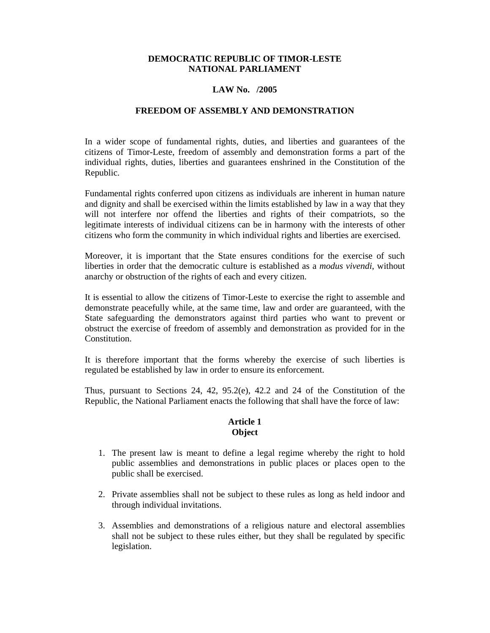### **DEMOCRATIC REPUBLIC OF TIMOR-LESTE NATIONAL PARLIAMENT**

#### **LAW No. /2005**

#### **FREEDOM OF ASSEMBLY AND DEMONSTRATION**

In a wider scope of fundamental rights, duties, and liberties and guarantees of the citizens of Timor-Leste, freedom of assembly and demonstration forms a part of the individual rights, duties, liberties and guarantees enshrined in the Constitution of the Republic.

Fundamental rights conferred upon citizens as individuals are inherent in human nature and dignity and shall be exercised within the limits established by law in a way that they will not interfere nor offend the liberties and rights of their compatriots, so the legitimate interests of individual citizens can be in harmony with the interests of other citizens who form the community in which individual rights and liberties are exercised.

Moreover, it is important that the State ensures conditions for the exercise of such liberties in order that the democratic culture is established as a *modus vivendi*, without anarchy or obstruction of the rights of each and every citizen.

It is essential to allow the citizens of Timor-Leste to exercise the right to assemble and demonstrate peacefully while, at the same time, law and order are guaranteed, with the State safeguarding the demonstrators against third parties who want to prevent or obstruct the exercise of freedom of assembly and demonstration as provided for in the Constitution.

It is therefore important that the forms whereby the exercise of such liberties is regulated be established by law in order to ensure its enforcement.

Thus, pursuant to Sections 24, 42, 95.2(e), 42.2 and 24 of the Constitution of the Republic, the National Parliament enacts the following that shall have the force of law:

### **Article 1 Object**

- 1. The present law is meant to define a legal regime whereby the right to hold public assemblies and demonstrations in public places or places open to the public shall be exercised.
- 2. Private assemblies shall not be subject to these rules as long as held indoor and through individual invitations.
- 3. Assemblies and demonstrations of a religious nature and electoral assemblies shall not be subject to these rules either, but they shall be regulated by specific legislation.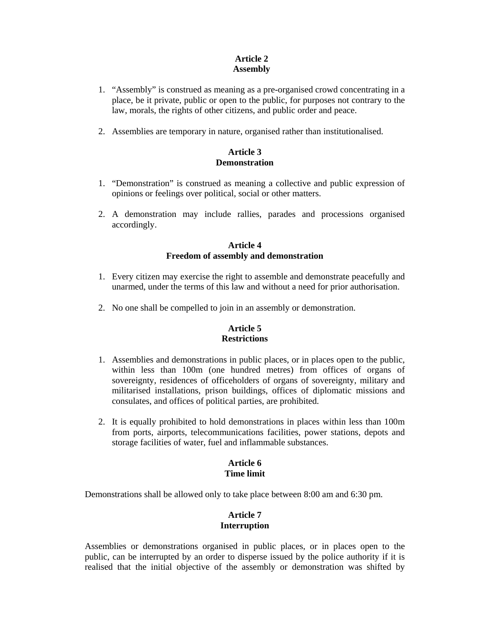# **Article 2 Assembly**

- 1. "Assembly" is construed as meaning as a pre-organised crowd concentrating in a place, be it private, public or open to the public, for purposes not contrary to the law, morals, the rights of other citizens, and public order and peace.
- 2. Assemblies are temporary in nature, organised rather than institutionalised.

## **Article 3 Demonstration**

- 1. "Demonstration" is construed as meaning a collective and public expression of opinions or feelings over political, social or other matters.
- 2. A demonstration may include rallies, parades and processions organised accordingly.

## **Article 4 Freedom of assembly and demonstration**

- 1. Every citizen may exercise the right to assemble and demonstrate peacefully and unarmed, under the terms of this law and without a need for prior authorisation.
- 2. No one shall be compelled to join in an assembly or demonstration.

# **Article 5 Restrictions**

- 1. Assemblies and demonstrations in public places, or in places open to the public, within less than 100m (one hundred metres) from offices of organs of sovereignty, residences of officeholders of organs of sovereignty, military and militarised installations, prison buildings, offices of diplomatic missions and consulates, and offices of political parties, are prohibited.
- 2. It is equally prohibited to hold demonstrations in places within less than 100m from ports, airports, telecommunications facilities, power stations, depots and storage facilities of water, fuel and inflammable substances.

#### **Article 6 Time limit**

Demonstrations shall be allowed only to take place between 8:00 am and 6:30 pm.

# **Article 7 Interruption**

Assemblies or demonstrations organised in public places, or in places open to the public, can be interrupted by an order to disperse issued by the police authority if it is realised that the initial objective of the assembly or demonstration was shifted by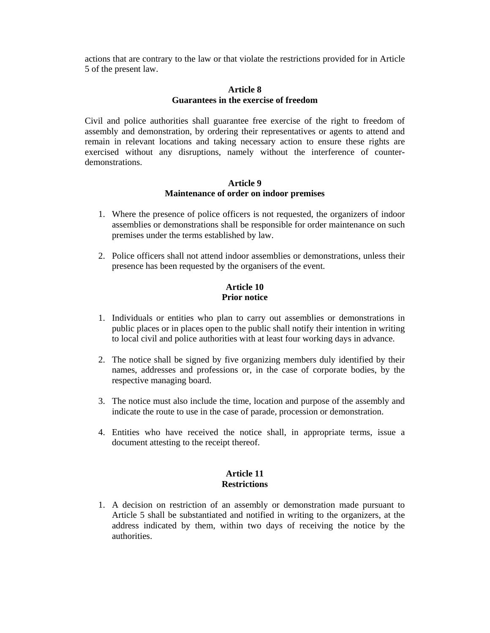actions that are contrary to the law or that violate the restrictions provided for in Article 5 of the present law.

## **Article 8 Guarantees in the exercise of freedom**

Civil and police authorities shall guarantee free exercise of the right to freedom of assembly and demonstration, by ordering their representatives or agents to attend and remain in relevant locations and taking necessary action to ensure these rights are exercised without any disruptions, namely without the interference of counterdemonstrations.

#### **Article 9 Maintenance of order on indoor premises**

- 1. Where the presence of police officers is not requested, the organizers of indoor assemblies or demonstrations shall be responsible for order maintenance on such premises under the terms established by law.
- 2. Police officers shall not attend indoor assemblies or demonstrations, unless their presence has been requested by the organisers of the event.

#### **Article 10 Prior notice**

- 1. Individuals or entities who plan to carry out assemblies or demonstrations in public places or in places open to the public shall notify their intention in writing to local civil and police authorities with at least four working days in advance.
- 2. The notice shall be signed by five organizing members duly identified by their names, addresses and professions or, in the case of corporate bodies, by the respective managing board.
- 3. The notice must also include the time, location and purpose of the assembly and indicate the route to use in the case of parade, procession or demonstration.
- 4. Entities who have received the notice shall, in appropriate terms, issue a document attesting to the receipt thereof.

## **Article 11 Restrictions**

1. A decision on restriction of an assembly or demonstration made pursuant to Article 5 shall be substantiated and notified in writing to the organizers, at the address indicated by them, within two days of receiving the notice by the authorities.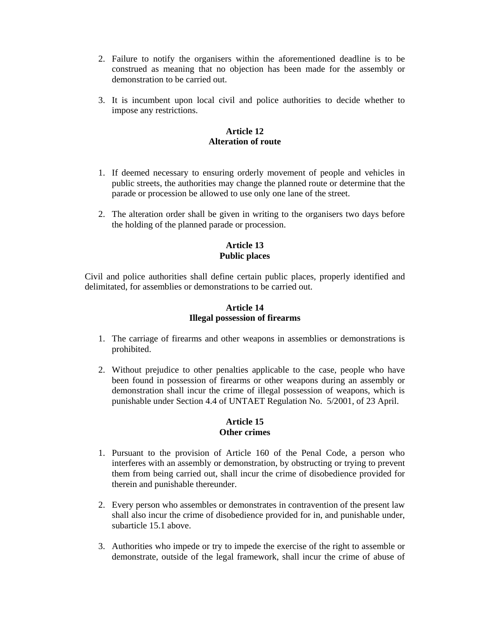- 2. Failure to notify the organisers within the aforementioned deadline is to be construed as meaning that no objection has been made for the assembly or demonstration to be carried out.
- 3. It is incumbent upon local civil and police authorities to decide whether to impose any restrictions.

## **Article 12 Alteration of route**

- 1. If deemed necessary to ensuring orderly movement of people and vehicles in public streets, the authorities may change the planned route or determine that the parade or procession be allowed to use only one lane of the street.
- 2. The alteration order shall be given in writing to the organisers two days before the holding of the planned parade or procession.

# **Article 13 Public places**

Civil and police authorities shall define certain public places, properly identified and delimitated, for assemblies or demonstrations to be carried out.

# **Article 14 Illegal possession of firearms**

- 1. The carriage of firearms and other weapons in assemblies or demonstrations is prohibited.
- 2. Without prejudice to other penalties applicable to the case, people who have been found in possession of firearms or other weapons during an assembly or demonstration shall incur the crime of illegal possession of weapons, which is punishable under Section 4.4 of UNTAET Regulation No. 5/2001, of 23 April.

## **Article 15 Other crimes**

- 1. Pursuant to the provision of Article 160 of the Penal Code, a person who interferes with an assembly or demonstration, by obstructing or trying to prevent them from being carried out, shall incur the crime of disobedience provided for therein and punishable thereunder.
- 2. Every person who assembles or demonstrates in contravention of the present law shall also incur the crime of disobedience provided for in, and punishable under, subarticle 15.1 above.
- 3. Authorities who impede or try to impede the exercise of the right to assemble or demonstrate, outside of the legal framework, shall incur the crime of abuse of